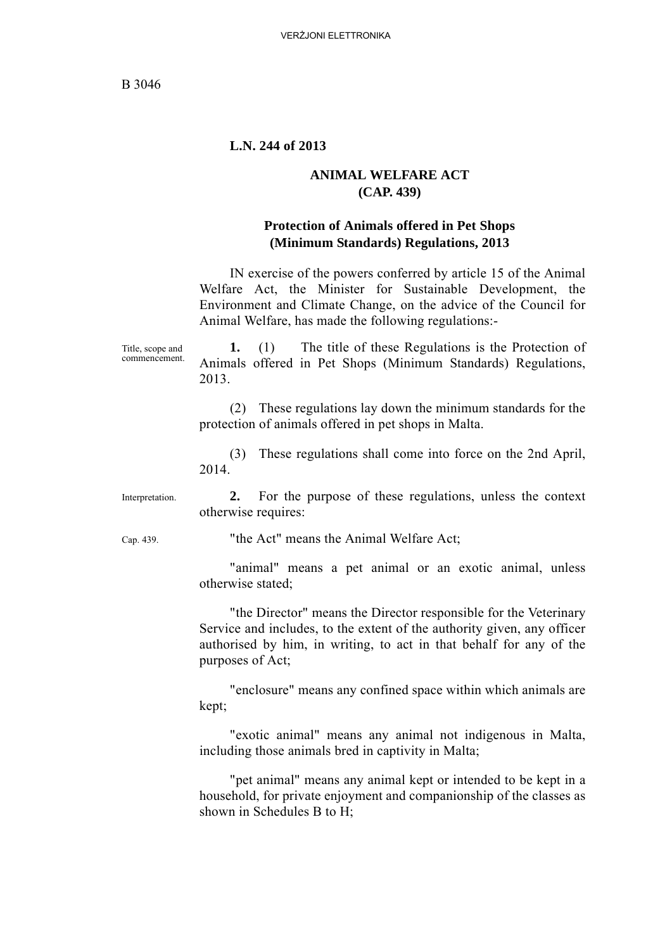#### **L.N. 244 of 2013**

#### **ANIMAL WELFARE ACT (CAP. 439)**

#### **Protection of Animals offered in Pet Shops (Minimum Standards) Regulations, 2013**

IN exercise of the powers conferred by article 15 of the Animal Welfare Act, the Minister for Sustainable Development, the Environment and Climate Change, on the advice of the Council for Animal Welfare, has made the following regulations:-

Title, scope and commencement. **1.** (1) The title of these Regulations is the Protection of Animals offered in Pet Shops (Minimum Standards) Regulations, 2013.

> (2) These regulations lay down the minimum standards for the protection of animals offered in pet shops in Malta.

> (3) These regulations shall come into force on the 2nd April, 2014.

Interpretation. **2.** For the purpose of these regulations, unless the context otherwise requires:

Cap. 439. "the Act" means the Animal Welfare Act;

"animal" means a pet animal or an exotic animal, unless otherwise stated;

"the Director" means the Director responsible for the Veterinary Service and includes, to the extent of the authority given, any officer authorised by him, in writing, to act in that behalf for any of the purposes of Act;

"enclosure" means any confined space within which animals are kept;

"exotic animal" means any animal not indigenous in Malta, including those animals bred in captivity in Malta;

"pet animal" means any animal kept or intended to be kept in a household, for private enjoyment and companionship of the classes as shown in Schedules B to H;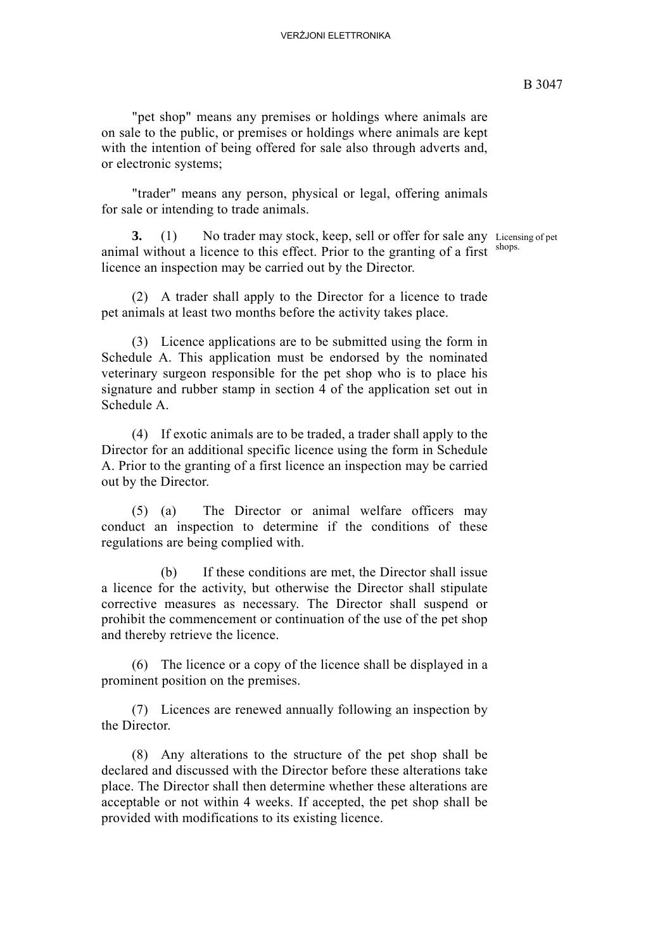#### VERŻJONI ELETTRONIKA

"pet shop" means any premises or holdings where animals are on sale to the public, or premises or holdings where animals are kept with the intention of being offered for sale also through adverts and, or electronic systems;

"trader" means any person, physical or legal, offering animals for sale or intending to trade animals.

**3.** (1) No trader may stock, keep, sell or offer for sale any Licensing of pet shops. animal without a licence to this effect. Prior to the granting of a first licence an inspection may be carried out by the Director.

(2) A trader shall apply to the Director for a licence to trade pet animals at least two months before the activity takes place.

(3) Licence applications are to be submitted using the form in Schedule A. This application must be endorsed by the nominated veterinary surgeon responsible for the pet shop who is to place his signature and rubber stamp in section 4 of the application set out in Schedule A.

(4) If exotic animals are to be traded, a trader shall apply to the Director for an additional specific licence using the form in Schedule A. Prior to the granting of a first licence an inspection may be carried out by the Director.

(5) (a) The Director or animal welfare officers may conduct an inspection to determine if the conditions of these regulations are being complied with.

(b) If these conditions are met, the Director shall issue a licence for the activity, but otherwise the Director shall stipulate corrective measures as necessary. The Director shall suspend or prohibit the commencement or continuation of the use of the pet shop and thereby retrieve the licence.

(6) The licence or a copy of the licence shall be displayed in a prominent position on the premises.

(7) Licences are renewed annually following an inspection by the Director.

(8) Any alterations to the structure of the pet shop shall be declared and discussed with the Director before these alterations take place. The Director shall then determine whether these alterations are acceptable or not within 4 weeks. If accepted, the pet shop shall be provided with modifications to its existing licence.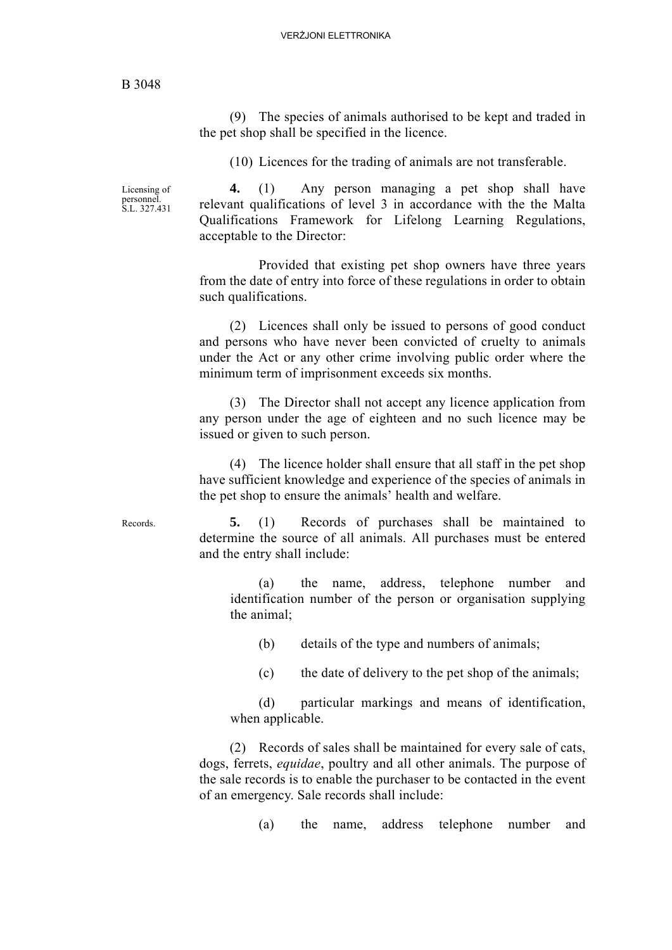(9) The species of animals authorised to be kept and traded in the pet shop shall be specified in the licence.

(10) Licences for the trading of animals are not transferable.

Licensing of personnel. S.L. 327.431

**4.** (1) Any person managing a pet shop shall have relevant qualifications of level 3 in accordance with the the Malta Qualifications Framework for Lifelong Learning Regulations, acceptable to the Director:

Provided that existing pet shop owners have three years from the date of entry into force of these regulations in order to obtain such qualifications.

(2) Licences shall only be issued to persons of good conduct and persons who have never been convicted of cruelty to animals under the Act or any other crime involving public order where the minimum term of imprisonment exceeds six months.

(3) The Director shall not accept any licence application from any person under the age of eighteen and no such licence may be issued or given to such person.

(4) The licence holder shall ensure that all staff in the pet shop have sufficient knowledge and experience of the species of animals in the pet shop to ensure the animals' health and welfare.

Records. **5.** (1) Records of purchases shall be maintained to determine the source of all animals. All purchases must be entered and the entry shall include:

> (a) the name, address, telephone number and identification number of the person or organisation supplying the animal;

(b) details of the type and numbers of animals;

(c) the date of delivery to the pet shop of the animals;

(d) particular markings and means of identification, when applicable.

(2) Records of sales shall be maintained for every sale of cats, dogs, ferrets, *equidae*, poultry and all other animals. The purpose of the sale records is to enable the purchaser to be contacted in the event of an emergency. Sale records shall include:

(a) the name, address telephone number and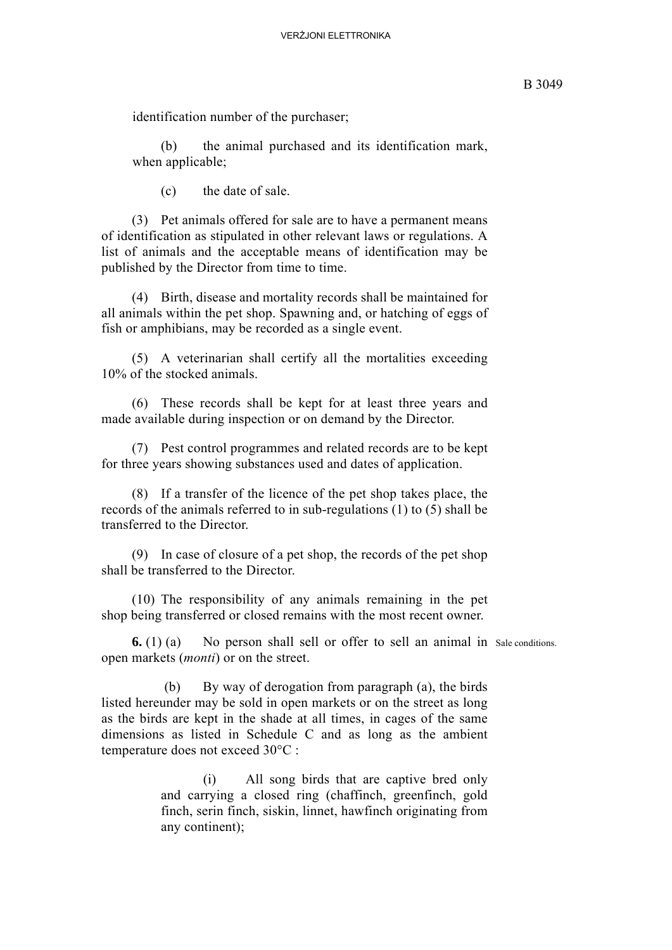identification number of the purchaser;

(b) the animal purchased and its identification mark, when applicable;

(c) the date of sale.

(3) Pet animals offered for sale are to have a permanent means of identification as stipulated in other relevant laws or regulations. A list of animals and the acceptable means of identification may be published by the Director from time to time.

(4) Birth, disease and mortality records shall be maintained for all animals within the pet shop. Spawning and, or hatching of eggs of fish or amphibians, may be recorded as a single event.

(5) A veterinarian shall certify all the mortalities exceeding 10% of the stocked animals.

(6) These records shall be kept for at least three years and made available during inspection or on demand by the Director.

(7) Pest control programmes and related records are to be kept for three years showing substances used and dates of application.

(8) If a transfer of the licence of the pet shop takes place, the records of the animals referred to in sub-regulations (1) to (5) shall be transferred to the Director.

(9) In case of closure of a pet shop, the records of the pet shop shall be transferred to the Director.

(10) The responsibility of any animals remaining in the pet shop being transferred or closed remains with the most recent owner.

open markets (*monti*) or on the street.

**6.** (1) (a) No person shall sell or offer to sell an animal in sale conditions.

 (b) By way of derogation from paragraph (a), the birds listed hereunder may be sold in open markets or on the street as long as the birds are kept in the shade at all times, in cages of the same dimensions as listed in Schedule C and as long as the ambient temperature does not exceed 30°C :

> (i) All song birds that are captive bred only and carrying a closed ring (chaffinch, greenfinch, gold finch, serin finch, siskin, linnet, hawfinch originating from any continent);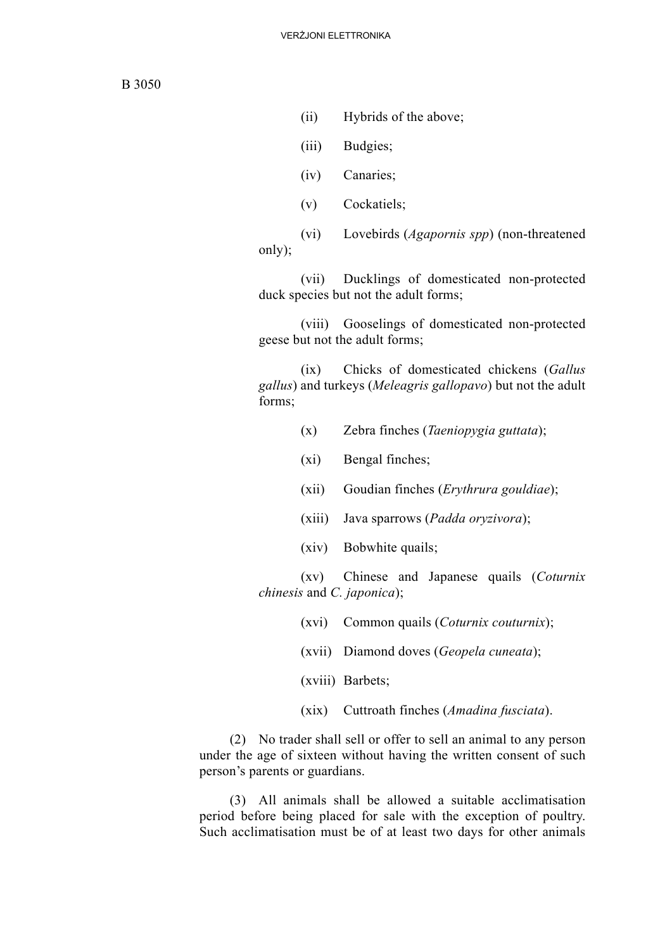- (ii) Hybrids of the above;
- (iii) Budgies;
- (iv) Canaries;
- (v) Cockatiels;

(vi) Lovebirds (*Agapornis spp*) (non-threatened only);

(vii) Ducklings of domesticated non-protected duck species but not the adult forms;

(viii) Gooselings of domesticated non-protected geese but not the adult forms;

(ix) Chicks of domesticated chickens (*Gallus gallus*) and turkeys (*Meleagris gallopavo*) but not the adult forms;

- (x) Zebra finches (*Taeniopygia guttata*);
- (xi) Bengal finches;
- (xii) Goudian finches (*Erythrura gouldiae*);
- (xiii) Java sparrows (*Padda oryzivora*);
- (xiv) Bobwhite quails;

(xv) Chinese and Japanese quails (*Coturnix chinesis* and *C. japonica*);

- (xvi) Common quails (*Coturnix couturnix*);
- (xvii) Diamond doves (*Geopela cuneata*);

(xviii) Barbets;

(xix) Cuttroath finches (*Amadina fusciata*).

(2) No trader shall sell or offer to sell an animal to any person under the age of sixteen without having the written consent of such person's parents or guardians.

(3) All animals shall be allowed a suitable acclimatisation period before being placed for sale with the exception of poultry. Such acclimatisation must be of at least two days for other animals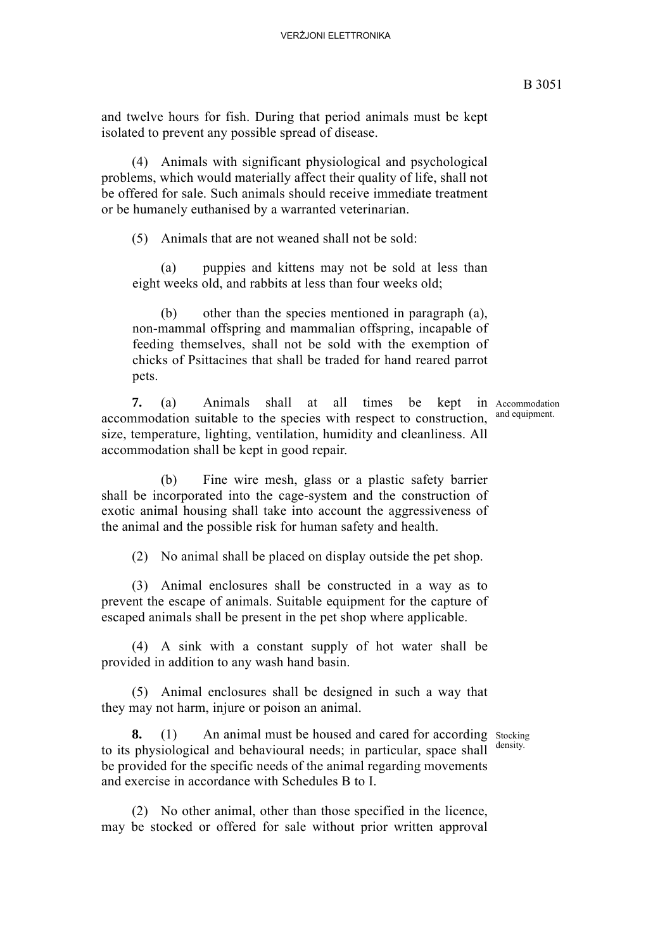and twelve hours for fish. During that period animals must be kept isolated to prevent any possible spread of disease.

(4) Animals with significant physiological and psychological problems, which would materially affect their quality of life, shall not be offered for sale. Such animals should receive immediate treatment or be humanely euthanised by a warranted veterinarian.

(5) Animals that are not weaned shall not be sold:

(a) puppies and kittens may not be sold at less than eight weeks old, and rabbits at less than four weeks old;

(b) other than the species mentioned in paragraph (a), non-mammal offspring and mammalian offspring, incapable of feeding themselves, shall not be sold with the exemption of chicks of Psittacines that shall be traded for hand reared parrot pets.

7. (a) Animals shall at all times be kept in Accommodation accommodation suitable to the species with respect to construction, size, temperature, lighting, ventilation, humidity and cleanliness. All accommodation shall be kept in good repair.

and equipment.

(b) Fine wire mesh, glass or a plastic safety barrier shall be incorporated into the cage-system and the construction of exotic animal housing shall take into account the aggressiveness of the animal and the possible risk for human safety and health.

(2) No animal shall be placed on display outside the pet shop.

(3) Animal enclosures shall be constructed in a way as to prevent the escape of animals. Suitable equipment for the capture of escaped animals shall be present in the pet shop where applicable.

(4) A sink with a constant supply of hot water shall be provided in addition to any wash hand basin.

(5) Animal enclosures shall be designed in such a way that they may not harm, injure or poison an animal.

density.

**8.** (1) An animal must be housed and cared for according stocking to its physiological and behavioural needs; in particular, space shall be provided for the specific needs of the animal regarding movements and exercise in accordance with Schedules B to I.

(2) No other animal, other than those specified in the licence, may be stocked or offered for sale without prior written approval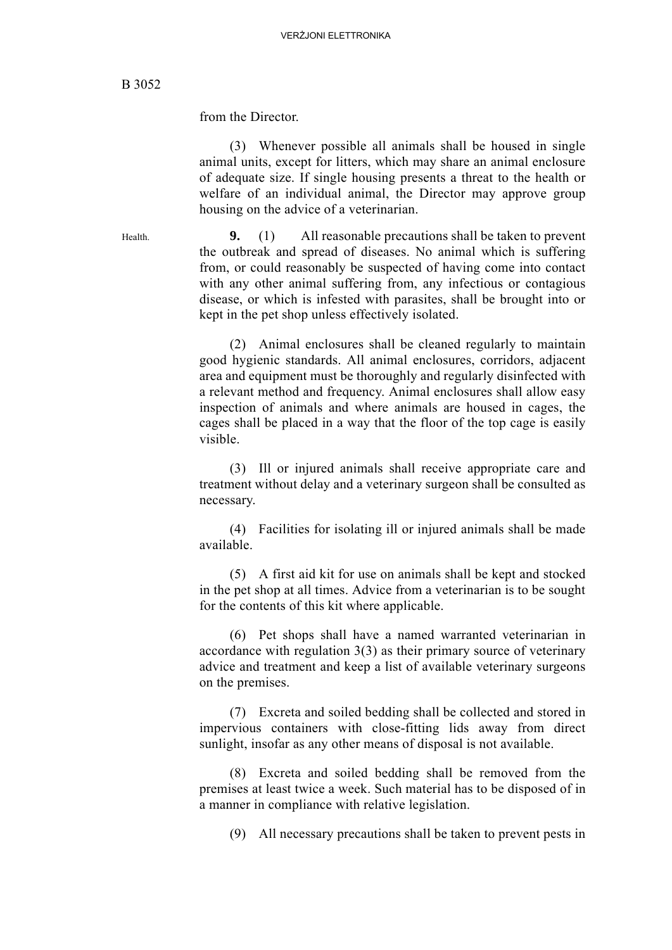from the Director.

(3) Whenever possible all animals shall be housed in single animal units, except for litters, which may share an animal enclosure of adequate size. If single housing presents a threat to the health or welfare of an individual animal, the Director may approve group housing on the advice of a veterinarian.

Health. **9.** (1) All reasonable precautions shall be taken to prevent the outbreak and spread of diseases. No animal which is suffering from, or could reasonably be suspected of having come into contact with any other animal suffering from, any infectious or contagious disease, or which is infested with parasites, shall be brought into or kept in the pet shop unless effectively isolated.

> (2) Animal enclosures shall be cleaned regularly to maintain good hygienic standards. All animal enclosures, corridors, adjacent area and equipment must be thoroughly and regularly disinfected with a relevant method and frequency. Animal enclosures shall allow easy inspection of animals and where animals are housed in cages, the cages shall be placed in a way that the floor of the top cage is easily visible.

> (3) Ill or injured animals shall receive appropriate care and treatment without delay and a veterinary surgeon shall be consulted as necessary.

> (4) Facilities for isolating ill or injured animals shall be made available.

> (5) A first aid kit for use on animals shall be kept and stocked in the pet shop at all times. Advice from a veterinarian is to be sought for the contents of this kit where applicable.

> (6) Pet shops shall have a named warranted veterinarian in accordance with regulation 3(3) as their primary source of veterinary advice and treatment and keep a list of available veterinary surgeons on the premises.

> (7) Excreta and soiled bedding shall be collected and stored in impervious containers with close-fitting lids away from direct sunlight, insofar as any other means of disposal is not available.

> (8) Excreta and soiled bedding shall be removed from the premises at least twice a week. Such material has to be disposed of in a manner in compliance with relative legislation.

(9) All necessary precautions shall be taken to prevent pests in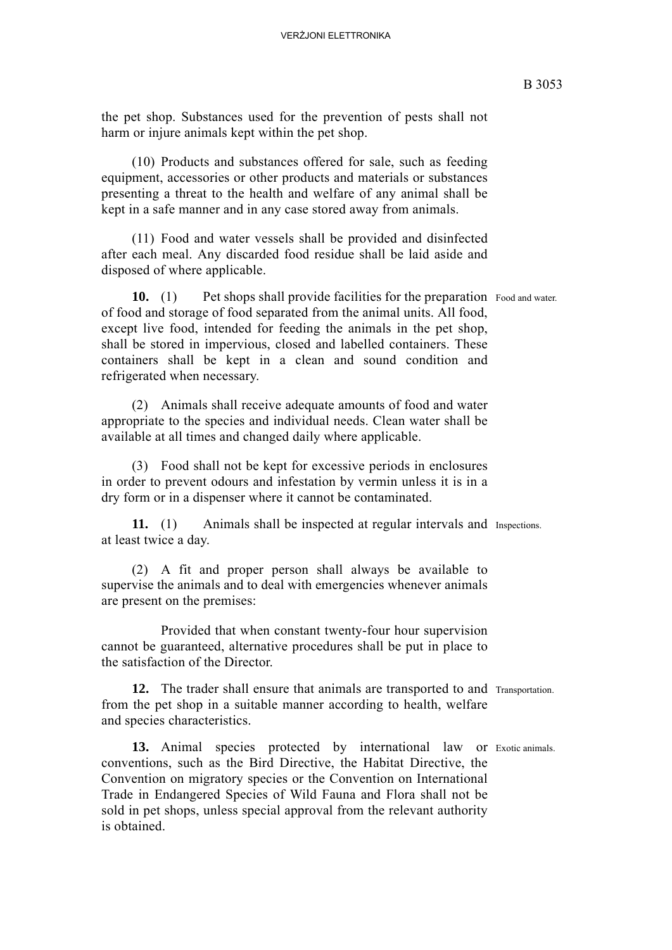the pet shop. Substances used for the prevention of pests shall not harm or injure animals kept within the pet shop.

(10) Products and substances offered for sale, such as feeding equipment, accessories or other products and materials or substances presenting a threat to the health and welfare of any animal shall be kept in a safe manner and in any case stored away from animals.

(11) Food and water vessels shall be provided and disinfected after each meal. Any discarded food residue shall be laid aside and disposed of where applicable.

**10.** (1) Pet shops shall provide facilities for the preparation Food and water. of food and storage of food separated from the animal units. All food, except live food, intended for feeding the animals in the pet shop, shall be stored in impervious, closed and labelled containers. These containers shall be kept in a clean and sound condition and refrigerated when necessary.

(2) Animals shall receive adequate amounts of food and water appropriate to the species and individual needs. Clean water shall be available at all times and changed daily where applicable.

(3) Food shall not be kept for excessive periods in enclosures in order to prevent odours and infestation by vermin unless it is in a dry form or in a dispenser where it cannot be contaminated.

**11.** (1) Animals shall be inspected at regular intervals and Inspections. at least twice a day.

(2) A fit and proper person shall always be available to supervise the animals and to deal with emergencies whenever animals are present on the premises:

Provided that when constant twenty-four hour supervision cannot be guaranteed, alternative procedures shall be put in place to the satisfaction of the Director.

**12.** The trader shall ensure that animals are transported to and Transportation. from the pet shop in a suitable manner according to health, welfare and species characteristics.

13. Animal species protected by international law or Exotic animals. conventions, such as the Bird Directive, the Habitat Directive, the Convention on migratory species or the Convention on International Trade in Endangered Species of Wild Fauna and Flora shall not be sold in pet shops, unless special approval from the relevant authority is obtained.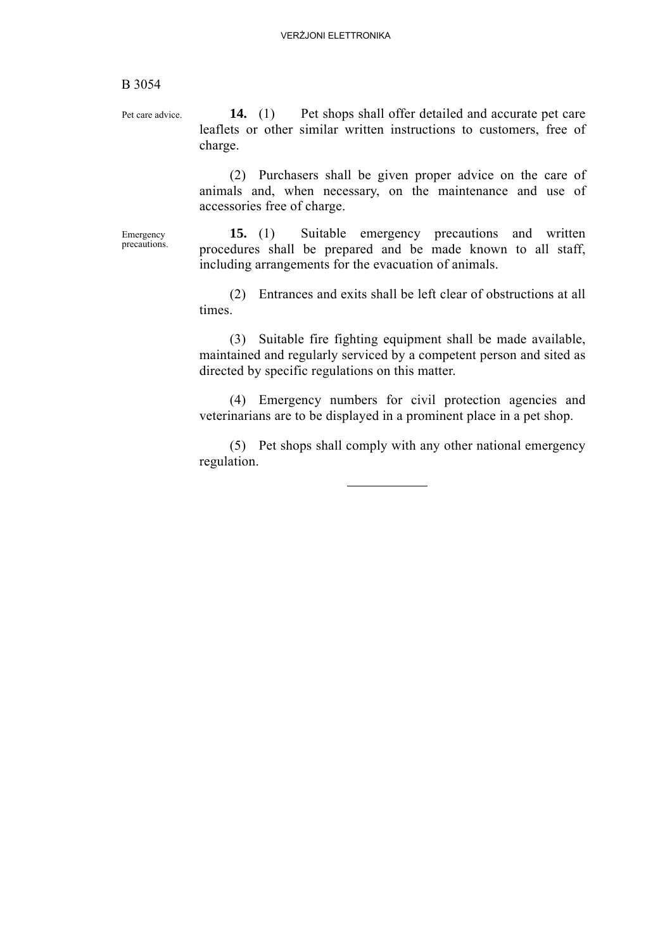Pet care advice. **14.** (1) Pet shops shall offer detailed and accurate pet care leaflets or other similar written instructions to customers, free of charge.

> (2) Purchasers shall be given proper advice on the care of animals and, when necessary, on the maintenance and use of accessories free of charge.

Emergency precautions.

**15.** (1) Suitable emergency precautions and written procedures shall be prepared and be made known to all staff, including arrangements for the evacuation of animals.

(2) Entrances and exits shall be left clear of obstructions at all times.

(3) Suitable fire fighting equipment shall be made available, maintained and regularly serviced by a competent person and sited as directed by specific regulations on this matter.

(4) Emergency numbers for civil protection agencies and veterinarians are to be displayed in a prominent place in a pet shop.

(5) Pet shops shall comply with any other national emergency regulation.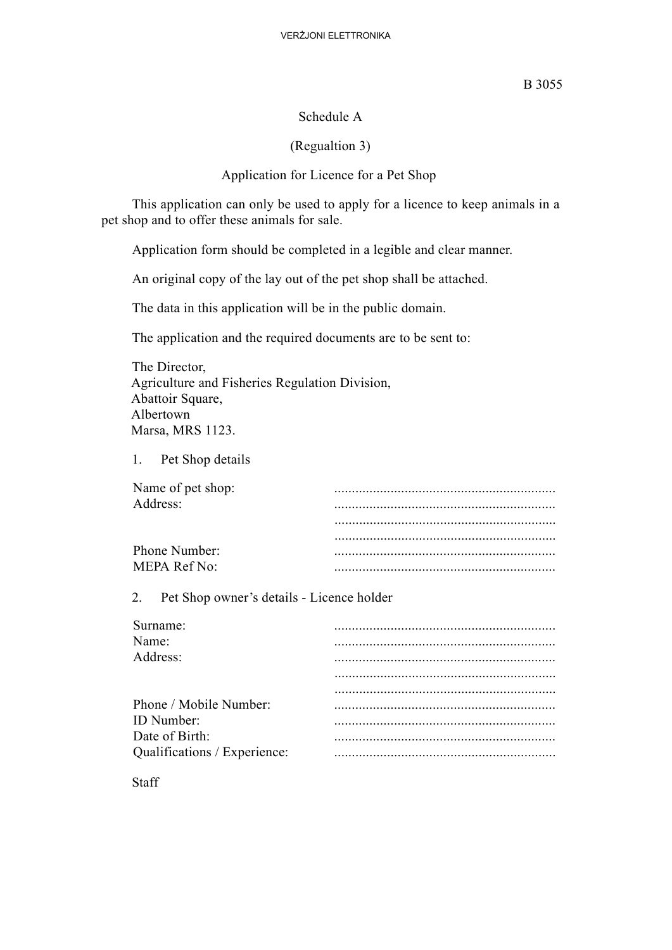#### Schedule A

#### (Regualtion 3)

#### Application for Licence for a Pet Shop

This application can only be used to apply for a licence to keep animals in a pet shop and to offer these animals for sale.

Application form should be completed in a legible and clear manner.

An original copy of the lay out of the pet shop shall be attached.

The data in this application will be in the public domain.

The application and the required documents are to be sent to:

The Director, Agriculture and Fisheries Regulation Division, Abattoir Square, Albertown Marsa, MRS 1123.

1. Pet Shop details

| Name of pet shop:   |  |
|---------------------|--|
| Address:            |  |
|                     |  |
|                     |  |
| Phone Number:       |  |
| <b>MEPA Ref No:</b> |  |

2. Pet Shop owner's details - Licence holder

| Surname:                     |  |
|------------------------------|--|
| Name:                        |  |
| Address:                     |  |
|                              |  |
|                              |  |
| Phone / Mobile Number:       |  |
| <b>ID</b> Number:            |  |
| Date of Birth:               |  |
| Qualifications / Experience: |  |
|                              |  |

**Staff**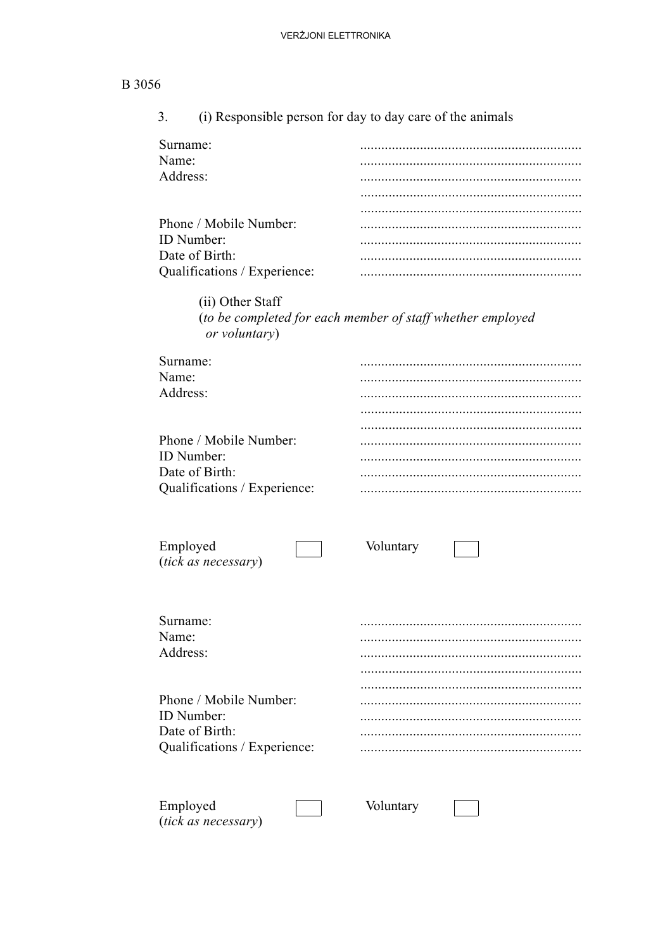| 3.                                             | (i) Responsible person for day to day care of the animals  |
|------------------------------------------------|------------------------------------------------------------|
| Surname:                                       |                                                            |
| Name:                                          |                                                            |
| Address:                                       |                                                            |
|                                                |                                                            |
|                                                |                                                            |
| Phone / Mobile Number:                         |                                                            |
| ID Number:                                     |                                                            |
| Date of Birth:                                 |                                                            |
| Qualifications / Experience:                   |                                                            |
|                                                |                                                            |
| (ii) Other Staff<br>or voluntary)              | (to be completed for each member of staff whether employed |
| Surname:                                       |                                                            |
| Name:                                          |                                                            |
| Address:                                       |                                                            |
|                                                |                                                            |
|                                                |                                                            |
| Phone / Mobile Number:                         |                                                            |
| ID Number:                                     |                                                            |
| Date of Birth:<br>Qualifications / Experience: |                                                            |
|                                                |                                                            |
|                                                |                                                            |
| Employed<br>(tick as necessary)                | Voluntary                                                  |
| Surname:                                       |                                                            |
| Name:                                          |                                                            |
| Address:                                       |                                                            |
|                                                |                                                            |
| Phone / Mobile Number:                         |                                                            |
| ID Number:                                     |                                                            |
| Date of Birth:                                 |                                                            |
| Qualifications / Experience:                   |                                                            |
|                                                |                                                            |

Employed<br>(tick as necessary)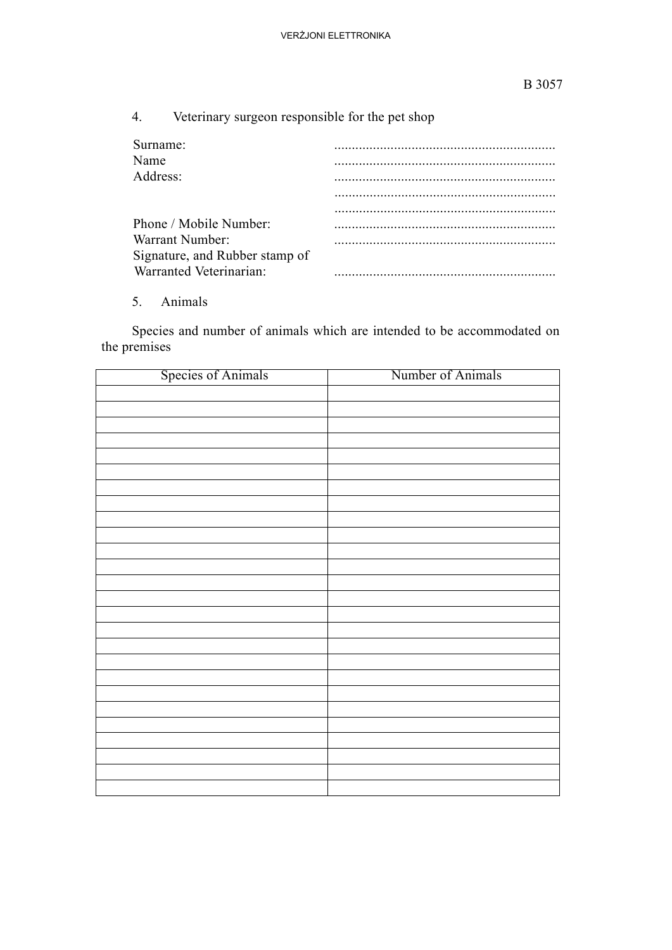|  |  | Veterinary surgeon responsible for the pet shop |  |  |
|--|--|-------------------------------------------------|--|--|
|--|--|-------------------------------------------------|--|--|

| Surname:<br>Name                                                             |  |
|------------------------------------------------------------------------------|--|
| Address:                                                                     |  |
|                                                                              |  |
| Phone / Mobile Number:                                                       |  |
| Warrant Number:<br>Signature, and Rubber stamp of<br>Warranted Veterinarian: |  |

5. Animals

Species and number of animals which are intended to be accommodated on the premises

| <b>Species of Animals</b> | Number of Animals |
|---------------------------|-------------------|
|                           |                   |
|                           |                   |
|                           |                   |
|                           |                   |
|                           |                   |
|                           |                   |
|                           |                   |
|                           |                   |
|                           |                   |
|                           |                   |
|                           |                   |
|                           |                   |
|                           |                   |
|                           |                   |
|                           |                   |
|                           |                   |
|                           |                   |
|                           |                   |
|                           |                   |
|                           |                   |
|                           |                   |
|                           |                   |
|                           |                   |
|                           |                   |
|                           |                   |
|                           |                   |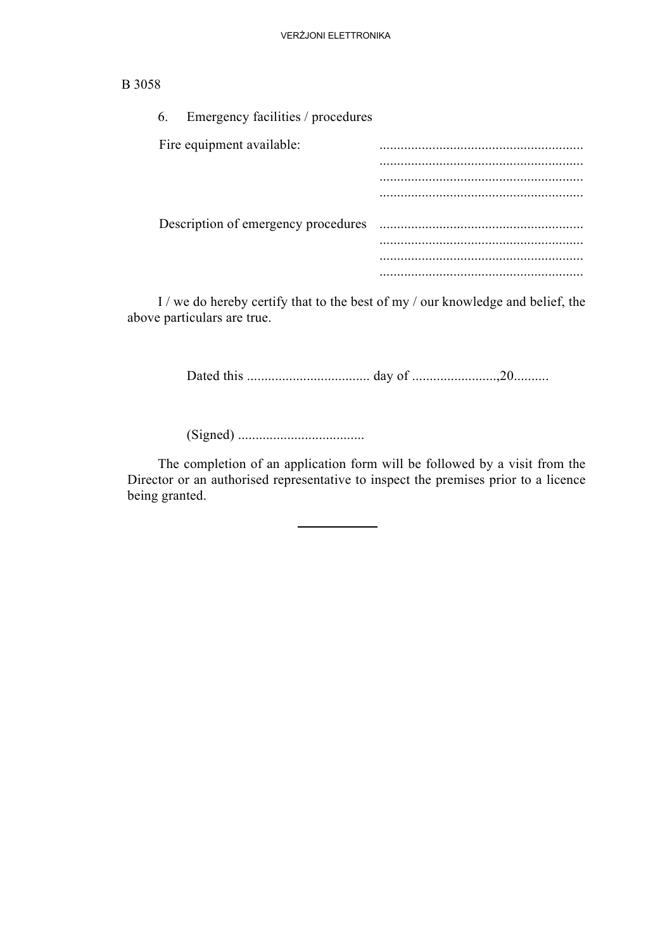| Emergency facilities / procedures<br>6. |  |
|-----------------------------------------|--|
| Fire equipment available:               |  |
|                                         |  |
|                                         |  |
|                                         |  |
| Description of emergency procedures     |  |
|                                         |  |
|                                         |  |
|                                         |  |

I / we do hereby certify that to the best of my / our knowledge and belief, the above particulars are true.

Dated this ................................... day of ........................,20..........

(Signed) ....................................

The completion of an application form will be followed by a visit from the Director or an authorised representative to inspect the premises prior to a licence being granted.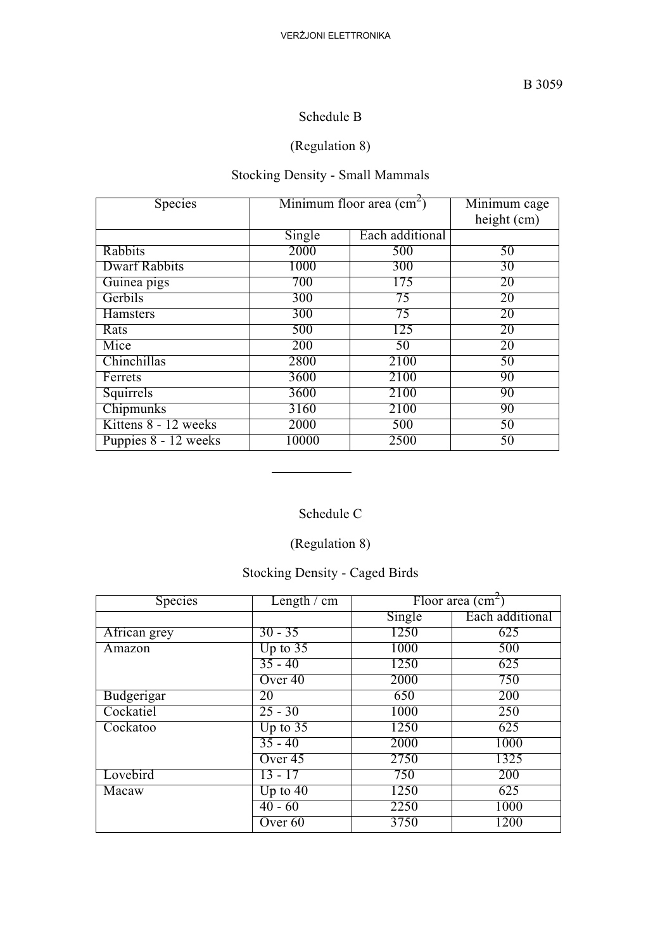### Schedule B

## (Regulation 8)

# Stocking Density - Small Mammals

| Species              | Minimum floor area $\text{(cm}^2\text{)}$ |                 | Minimum cage |
|----------------------|-------------------------------------------|-----------------|--------------|
|                      |                                           |                 | height (cm)  |
|                      | Single                                    | Each additional |              |
| Rabbits              | 2000                                      | 500             | 50           |
| <b>Dwarf Rabbits</b> | 1000                                      | 300             | 30           |
| Guinea pigs          | 700                                       | 175             | 20           |
| Gerbils              | 300                                       | 75              | 20           |
| Hamsters             | 300                                       | 75              | 20           |
| Rats                 | 500                                       | 125             | 20           |
| Mice                 | 200                                       | 50              | 20           |
| Chinchillas          | 2800                                      | 2100            | 50           |
| Ferrets              | 3600                                      | 2100            | 90           |
| Squirrels            | 3600                                      | 2100            | 90           |
| Chipmunks            | 3160                                      | 2100            | 90           |
| Kittens 8 - 12 weeks | 2000                                      | 500             | 50           |
| Puppies 8 - 12 weeks | 10000                                     | 2500            | 50           |

## Schedule C

## (Regulation 8)

## Stocking Density - Caged Birds

| Species      | Length $\prime$ cm |        | Floor area $\text{(cm}^2\text{)}$ |
|--------------|--------------------|--------|-----------------------------------|
|              |                    | Single | Each additional                   |
| African grey | $30 - 35$          | 1250   | 625                               |
| Amazon       | Up to $35$         | 1000   | 500                               |
|              | $35 - 40$          | 1250   | 625                               |
|              | Over 40            | 2000   | 750                               |
| Budgerigar   | 20                 | 650    | 200                               |
| Cockatiel    | $25 - 30$          | 1000   | 250                               |
| Cockatoo     | Up to $35$         | 1250   | 625                               |
|              | $35 - 40$          | 2000   | 1000                              |
|              | Over $45$          | 2750   | 1325                              |
| Lovebird     | $13 - 17$          | 750    | 200                               |
| Macaw        | Up to $40$         | 1250   | 625                               |
|              | $40 - 60$          | 2250   | 1000                              |
|              | Over 60            | 3750   | 1200                              |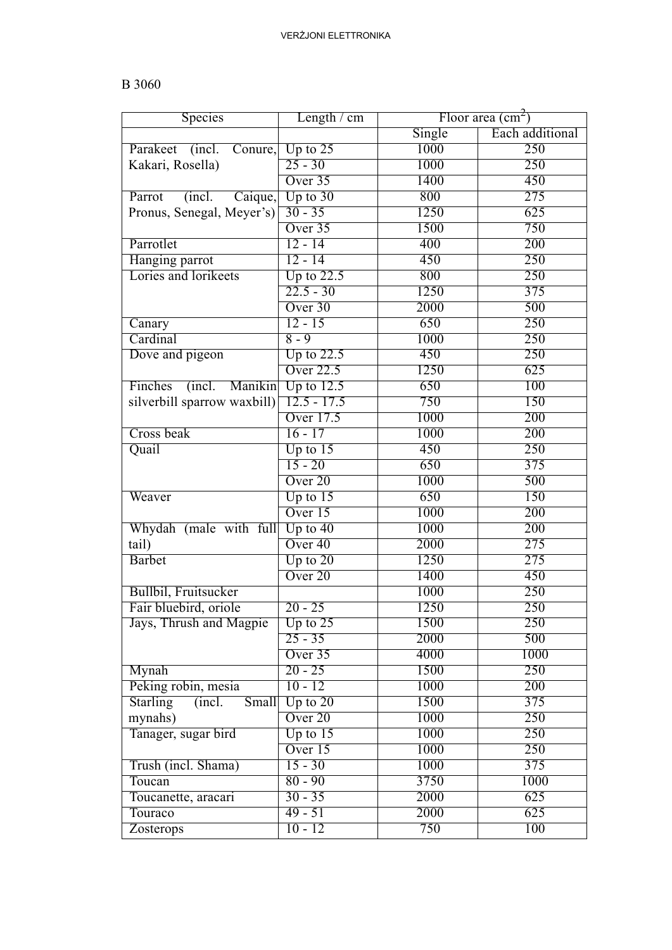| Species                            | Length $\ell$ cm   |        | Floor area $\text{(cm}^2\text{)}$ |
|------------------------------------|--------------------|--------|-----------------------------------|
|                                    |                    | Single | Each additional                   |
| Parakeet<br>(incl.<br>Conure,      | Up to $25$         | 1000   | 250                               |
| Kakari, Rosella)                   | $25 - 30$          | 1000   | 250                               |
|                                    | Over 35            | 1400   | 450                               |
| Parrot<br>(incl. Caique,           | Up to $30$         | 800    | 275                               |
| Pronus, Senegal, Meyer's)          | $30 - 35$          | 1250   | 625                               |
|                                    | Over 35            | 1500   | 750                               |
| Parrotlet                          | $12 - 14$          | 400    | 200                               |
| Hanging parrot                     | $12 - 14$          | 450    | 250                               |
| Lories and lorikeets               | Up to $22.5$       | 800    | 250                               |
|                                    | $22.5 - 30$        | 1250   | $\overline{375}$                  |
|                                    | Over 30            | 2000   | 500                               |
| Canary                             | $12 - 15$          | 650    | 250                               |
| Cardinal                           | $8 - 9$            | 1000   | 250                               |
| Dove and pigeon                    | Up to $22.5$       | 450    | 250                               |
|                                    | <b>Over 22.5</b>   | 1250   | 625                               |
| Finches<br>(incl.)<br>Manikin      | Up to $12.5$       | 650    | 100                               |
| silverbill sparrow waxbill)        | $12.5 - 17.5$      | 750    | 150                               |
|                                    | Over 17.5          | 1000   | 200                               |
|                                    |                    |        |                                   |
| Cross beak                         | $16 - 17$          | 1000   | 200                               |
| Quail                              | Up to $15$         | 450    | 250                               |
|                                    | 15 - 20            | 650    | 375                               |
|                                    | Over <sub>20</sub> | 1000   | 500                               |
| Weaver                             | Up to $15$         | 650    | 150                               |
|                                    | Over 15            | 1000   | 200                               |
| Whydah (male with full             | Up to $40$         | 1000   | 200                               |
| tail)                              | Over <sub>40</sub> | 2000   | 275                               |
| <b>Barbet</b>                      | Up to $20$         | 1250   | 275                               |
|                                    | Over <sub>20</sub> | 1400   | 450                               |
| Bullbil, Fruitsucker               |                    | 1000   | 250                               |
| Fair bluebird, oriole              | $20 - 25$          | 1250   | 250                               |
| Jays, Thrush and Magpie            | Up to $25$         | 1500   | 250                               |
|                                    | $25 - 35$          | 2000   | 500                               |
|                                    | Over 35            | 4000   | 1000                              |
| Mynah                              | $20 - 25$          | 1500   | 250                               |
| Peking robin, mesia                | $10 - 12$          | 1000   | 200                               |
| <b>Starling</b><br>Small<br>(incl. | Up to $20$         | 1500   | 375                               |
| mynahs)                            | Over 20            | 1000   | 250                               |
| Tanager, sugar bird                | Up to $15$         | 1000   | 250                               |
|                                    | Over 15            | 1000   | 250                               |
| Trush (incl. Shama)                | $15 - 30$          | 1000   | $\overline{375}$                  |
| Toucan                             | $80 - 90$          | 3750   | 1000                              |
| Toucanette, aracari                | $30 - 35$          | 2000   | 625                               |
| Touraco                            | $49 - 51$          | 2000   | 625                               |
| Zosterops                          | $10 - 12$          | 750    | 100                               |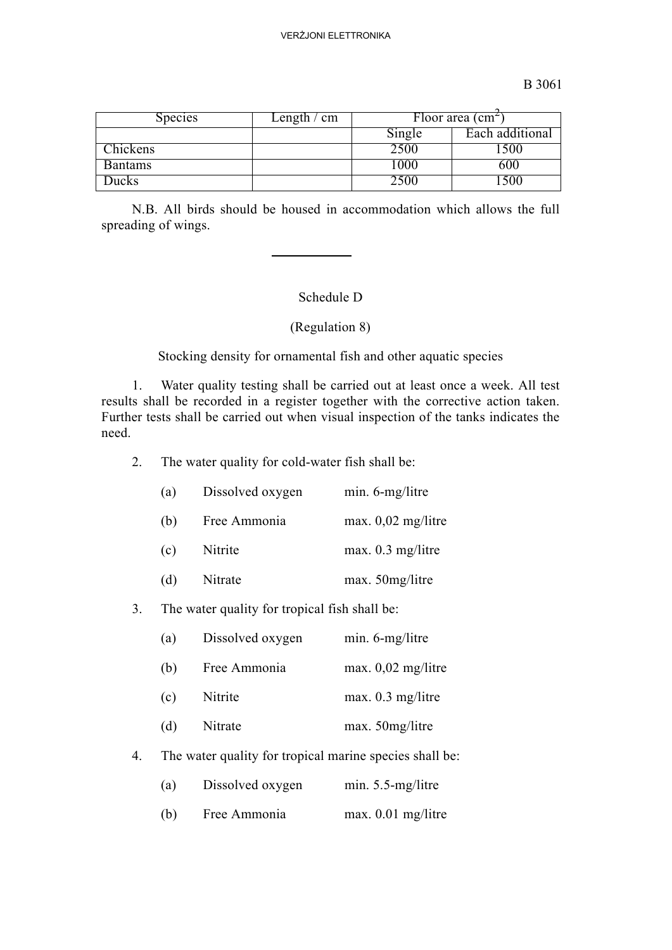| <b>Species</b> | Length $\ell$ cm |        | Floor area $\text{cm}^2$ |
|----------------|------------------|--------|--------------------------|
|                |                  | Single | Each additional          |
| Chickens       |                  | 2500   | 500                      |
| <b>Bantams</b> |                  | l 000  | 600                      |
| <b>Jucks</b>   |                  | ווא    | 500                      |

N.B. All birds should be housed in accommodation which allows the full spreading of wings.

#### Schedule D

#### (Regulation 8)

Stocking density for ornamental fish and other aquatic species

1. Water quality testing shall be carried out at least once a week. All test results shall be recorded in a register together with the corrective action taken. Further tests shall be carried out when visual inspection of the tanks indicates the need.

2. The water quality for cold-water fish shall be:

| (a) | Dissolved oxygen | min. 6-mg/litre      |
|-----|------------------|----------------------|
| (b) | Free Ammonia     | max. $0.02$ mg/litre |
| (c) | Nitrite          | max. 0.3 mg/litre    |
| (d) | Nitrate          | max. 50mg/litre      |
|     |                  |                      |

#### 3. The water quality for tropical fish shall be:

| (a) | Dissolved oxygen | min. 6-mg/litre      |
|-----|------------------|----------------------|
| (b) | Free Ammonia     | $max. 0,02$ mg/litre |
| (c) | Nitrite          | max. 0.3 mg/litre    |
| (d) | Nitrate          | max. 50mg/litre      |
|     |                  |                      |

4. The water quality for tropical marine species shall be:

| (a) | Dissolved oxygen | $min. 5.5-mg/litre$  |
|-----|------------------|----------------------|
| (b) | Free Ammonia     | $max. 0.01$ mg/litre |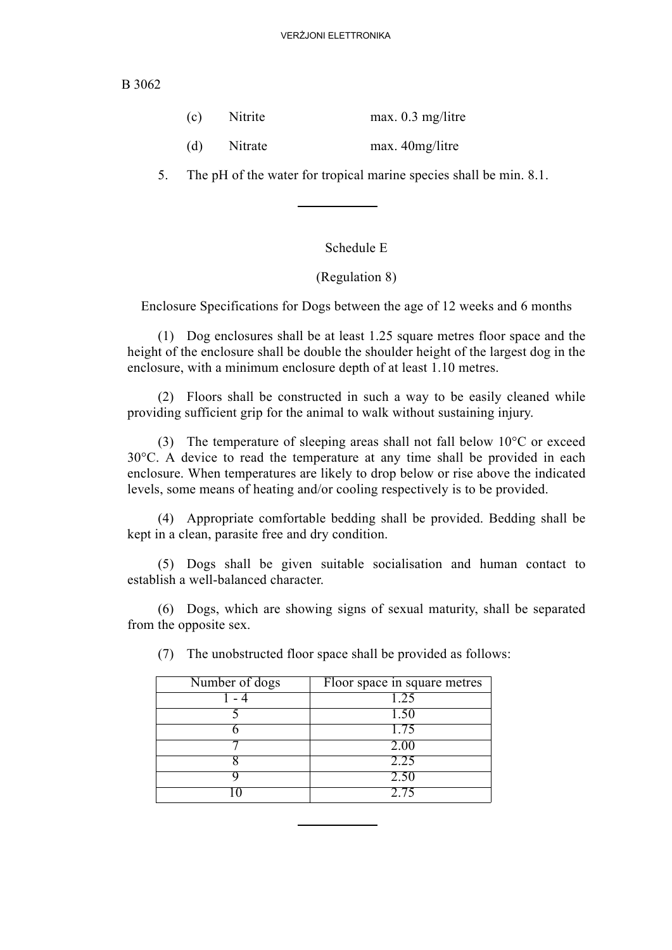| (c)<br>Nitrite |  | max. $0.3$ mg/litre |  |
|----------------|--|---------------------|--|
|                |  |                     |  |

(d) Nitrate max. 40mg/litre

5. The pH of the water for tropical marine species shall be min. 8.1.

#### Schedule E

#### (Regulation 8)

Enclosure Specifications for Dogs between the age of 12 weeks and 6 months

(1) Dog enclosures shall be at least 1.25 square metres floor space and the height of the enclosure shall be double the shoulder height of the largest dog in the enclosure, with a minimum enclosure depth of at least 1.10 metres.

(2) Floors shall be constructed in such a way to be easily cleaned while providing sufficient grip for the animal to walk without sustaining injury.

(3) The temperature of sleeping areas shall not fall below 10°C or exceed 30°C. A device to read the temperature at any time shall be provided in each enclosure. When temperatures are likely to drop below or rise above the indicated levels, some means of heating and/or cooling respectively is to be provided.

(4) Appropriate comfortable bedding shall be provided. Bedding shall be kept in a clean, parasite free and dry condition.

(5) Dogs shall be given suitable socialisation and human contact to establish a well-balanced character.

(6) Dogs, which are showing signs of sexual maturity, shall be separated from the opposite sex.

| Number of dogs | Floor space in square metres |
|----------------|------------------------------|
|                | 1.25                         |
|                | 1.50                         |
|                | 1.75                         |
|                | 2.00                         |
|                | 2.25                         |
|                | 2.50                         |
|                | 2.75                         |

(7) The unobstructed floor space shall be provided as follows: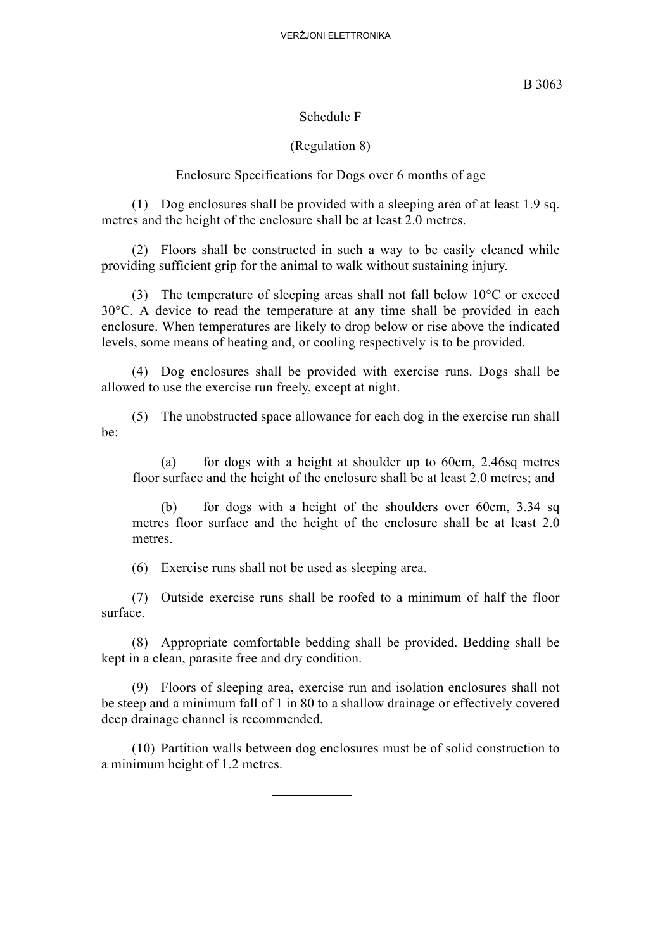#### Schedule F

### (Regulation 8)

### Enclosure Specifications for Dogs over 6 months of age

(1) Dog enclosures shall be provided with a sleeping area of at least 1.9 sq. metres and the height of the enclosure shall be at least 2.0 metres.

(2) Floors shall be constructed in such a way to be easily cleaned while providing sufficient grip for the animal to walk without sustaining injury.

(3) The temperature of sleeping areas shall not fall below 10°C or exceed 30°C. A device to read the temperature at any time shall be provided in each enclosure. When temperatures are likely to drop below or rise above the indicated levels, some means of heating and, or cooling respectively is to be provided.

(4) Dog enclosures shall be provided with exercise runs. Dogs shall be allowed to use the exercise run freely, except at night.

(5) The unobstructed space allowance for each dog in the exercise run shall be:

(a) for dogs with a height at shoulder up to 60cm, 2.46sq metres floor surface and the height of the enclosure shall be at least 2.0 metres; and

(b) for dogs with a height of the shoulders over 60cm, 3.34 sq metres floor surface and the height of the enclosure shall be at least 2.0 metres.

(6) Exercise runs shall not be used as sleeping area.

(7) Outside exercise runs shall be roofed to a minimum of half the floor surface.

(8) Appropriate comfortable bedding shall be provided. Bedding shall be kept in a clean, parasite free and dry condition.

(9) Floors of sleeping area, exercise run and isolation enclosures shall not be steep and a minimum fall of 1 in 80 to a shallow drainage or effectively covered deep drainage channel is recommended.

(10) Partition walls between dog enclosures must be of solid construction to a minimum height of 1.2 metres.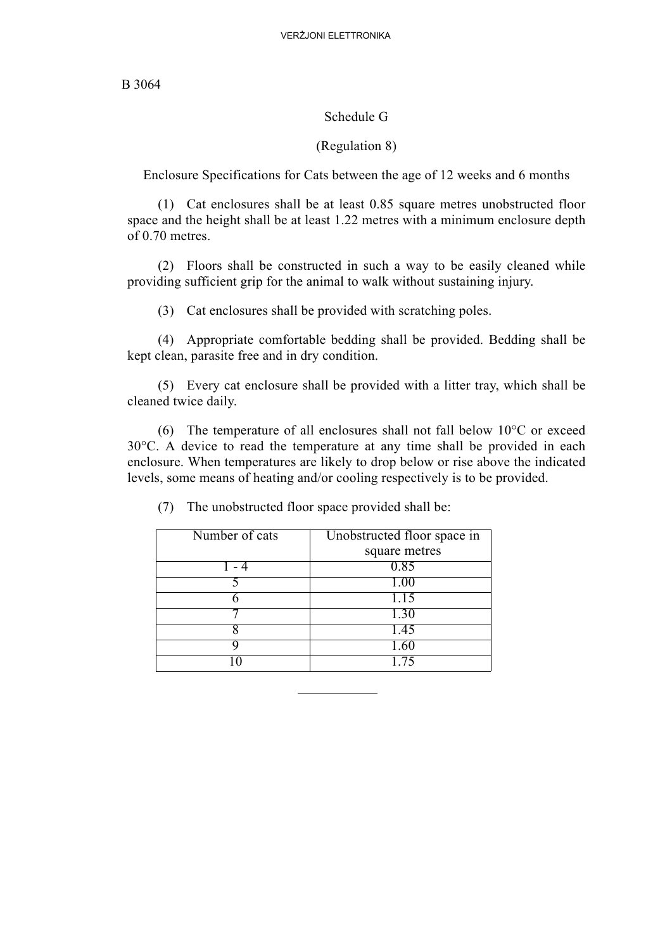#### Schedule G

#### (Regulation 8)

Enclosure Specifications for Cats between the age of 12 weeks and 6 months

(1) Cat enclosures shall be at least 0.85 square metres unobstructed floor space and the height shall be at least 1.22 metres with a minimum enclosure depth of 0.70 metres.

(2) Floors shall be constructed in such a way to be easily cleaned while providing sufficient grip for the animal to walk without sustaining injury.

(3) Cat enclosures shall be provided with scratching poles.

(4) Appropriate comfortable bedding shall be provided. Bedding shall be kept clean, parasite free and in dry condition.

(5) Every cat enclosure shall be provided with a litter tray, which shall be cleaned twice daily.

(6) The temperature of all enclosures shall not fall below  $10^{\circ}$ C or exceed 30°C. A device to read the temperature at any time shall be provided in each enclosure. When temperatures are likely to drop below or rise above the indicated levels, some means of heating and/or cooling respectively is to be provided.

| Number of cats | Unobstructed floor space in |  |
|----------------|-----------------------------|--|
|                | square metres               |  |
|                | 0.85                        |  |
|                | 1.00                        |  |
|                | 1.15                        |  |
|                | 1.30                        |  |
|                | 1.45                        |  |
|                | 1.60                        |  |
|                | $\overline{7}5$             |  |

(7) The unobstructed floor space provided shall be: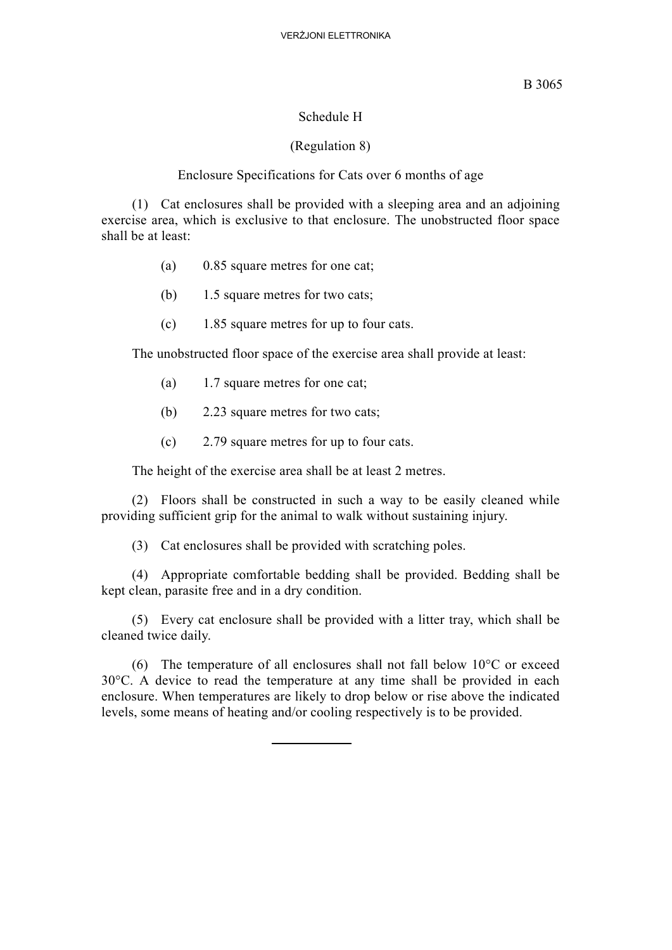#### Schedule H

#### (Regulation 8)

#### Enclosure Specifications for Cats over 6 months of age

(1) Cat enclosures shall be provided with a sleeping area and an adjoining exercise area, which is exclusive to that enclosure. The unobstructed floor space shall be at least:

- (a) 0.85 square metres for one cat;
- (b) 1.5 square metres for two cats;
- (c) 1.85 square metres for up to four cats.

The unobstructed floor space of the exercise area shall provide at least:

- (a) 1.7 square metres for one cat;
- (b) 2.23 square metres for two cats;
- (c) 2.79 square metres for up to four cats.

The height of the exercise area shall be at least 2 metres.

(2) Floors shall be constructed in such a way to be easily cleaned while providing sufficient grip for the animal to walk without sustaining injury.

(3) Cat enclosures shall be provided with scratching poles.

(4) Appropriate comfortable bedding shall be provided. Bedding shall be kept clean, parasite free and in a dry condition.

(5) Every cat enclosure shall be provided with a litter tray, which shall be cleaned twice daily.

(6) The temperature of all enclosures shall not fall below  $10^{\circ}$ C or exceed 30°C. A device to read the temperature at any time shall be provided in each enclosure. When temperatures are likely to drop below or rise above the indicated levels, some means of heating and/or cooling respectively is to be provided.